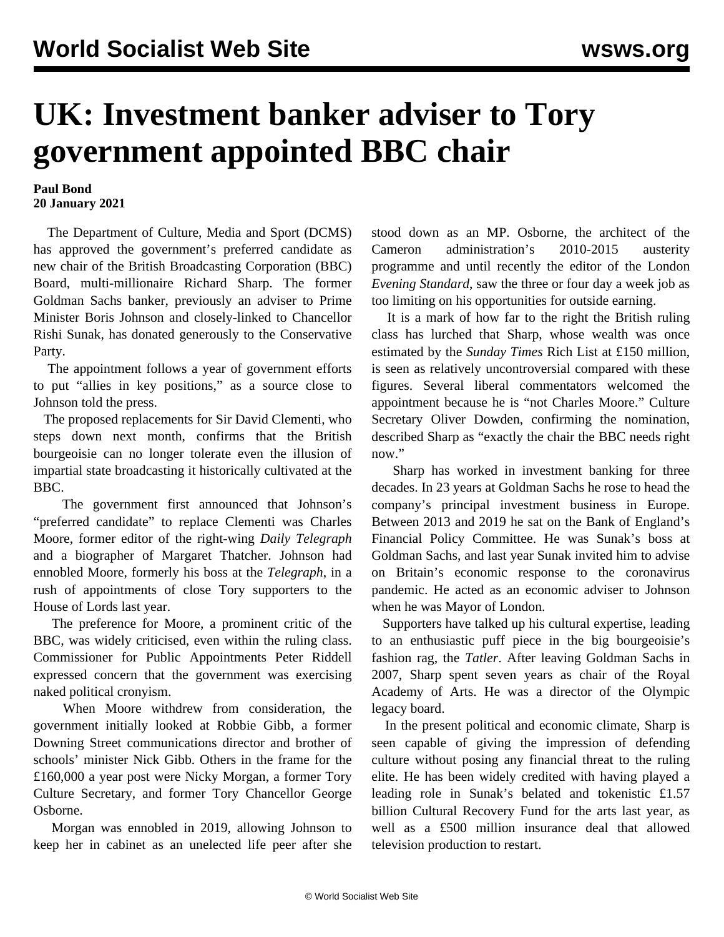## **UK: Investment banker adviser to Tory government appointed BBC chair**

## **Paul Bond 20 January 2021**

 The Department of Culture, Media and Sport (DCMS) has approved the government's preferred candidate as new chair of the British Broadcasting Corporation (BBC) Board, multi-millionaire Richard Sharp. The former Goldman Sachs banker, previously an adviser to Prime Minister Boris Johnson and closely-linked to Chancellor Rishi Sunak, has donated generously to the Conservative Party.

 The appointment follows [a year of government efforts](ttps://www.wsws.org/en/articles/2020/10/19/beeb-o19.html) to put "allies in key positions," as a source close to Johnson told the press.

 The proposed replacements for Sir David Clementi, who steps down next month, confirms that the British bourgeoisie can no longer tolerate even the illusion of impartial state broadcasting it historically cultivated at the BBC.

 The government first announced that Johnson's "preferred candidate" to replace Clementi was Charles Moore, former editor of the right-wing *Daily Telegraph* and a biographer of Margaret Thatcher. Johnson had ennobled Moore, formerly his boss at the *Telegraph*, in a rush of appointments of close Tory supporters to the House of Lords last year.

 The preference for Moore, a prominent critic of the BBC, was widely criticised, even within the ruling class. Commissioner for Public Appointments Peter Riddell expressed concern that the government was exercising naked political cronyism.

 When Moore withdrew from consideration, the government initially looked at Robbie Gibb, a former Downing Street communications director and brother of schools' minister Nick Gibb. Others in the frame for the £160,000 a year post were Nicky Morgan, a former Tory Culture Secretary, and former Tory Chancellor George Osborne.

 Morgan was ennobled in 2019, allowing Johnson to keep her in cabinet as an unelected life peer after she stood down as an MP. Osborne, the architect of the Cameron administration's 2010-2015 austerity programme and until recently the editor of the London *Evening Standard*, saw the three or four day a week job as too limiting on his opportunities for outside earning.

 It is a mark of how far to the right the British ruling class has lurched that Sharp, whose wealth was once estimated by the *Sunday Times* Rich List at £150 million, is seen as relatively uncontroversial compared with these figures. Several liberal commentators welcomed the appointment because he is "not Charles Moore." Culture Secretary Oliver Dowden, confirming the nomination, described Sharp as "exactly the chair the BBC needs right now"

 Sharp has worked in investment banking for three decades. In 23 years at Goldman Sachs he rose to head the company's principal investment business in Europe. Between 2013 and 2019 he sat on the Bank of England's Financial Policy Committee. He was Sunak's boss at Goldman Sachs, and last year Sunak invited him to advise on Britain's economic response to the coronavirus pandemic. He acted as an economic adviser to Johnson when he was Mayor of London.

 Supporters have talked up his cultural expertise, leading to an enthusiastic puff piece in the big bourgeoisie's fashion rag, the *Tatler*. After leaving Goldman Sachs in 2007, Sharp spent seven years as chair of the Royal Academy of Arts. He was a director of the [Olympic](/en/articles/2018/04/30/stad-a30.html) [legacy](/en/articles/2018/04/30/stad-a30.html) board.

 In the present political and economic climate, Sharp is seen capable of giving the impression of defending culture without posing any financial threat to the ruling elite. He has been widely credited with having played a leading role in Sunak's belated and tokenistic £1.57 billion [Cultural Recovery Fund](/en/articles/2020/07/09/arts-j09.html) for the arts last year, as well as a £500 million insurance deal that allowed television production to restart.